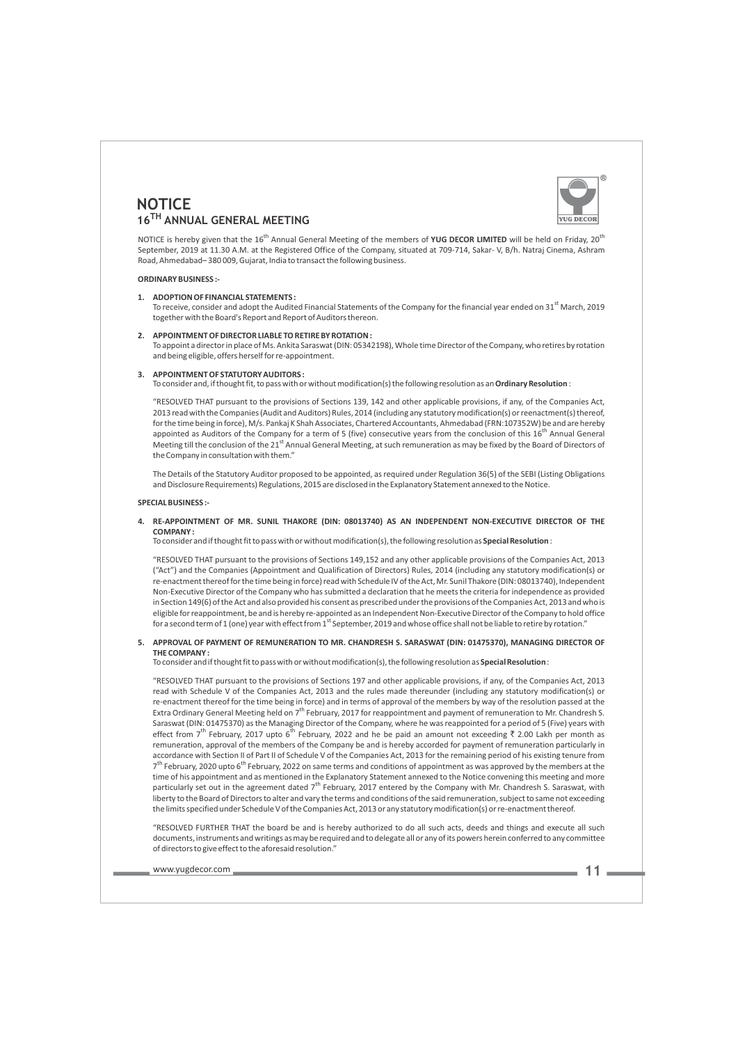

# **NOTICE TH 16 ANNUAL GENERAL MEETING**

NOTICE is hereby given that the 16<sup>th</sup> Annual General Meeting of the members of YUG DECOR LIMITED will be held on Friday, 20<sup>th</sup> September, 2019 at 11.30 A.M. at the Registered Office of the Company, situated at 709-714, Sakar- V, B/h. Natraj Cinema, Ashram Road, Ahmedabad– 380 009, Gujarat, India to transact the following business.

"RESOLVED THAT pursuant to the provisions of Sections 149,152 and any other applicable provisions of the Companies Act, 2013 ("Act") and the Companies (Appointment and Qualification of Directors) Rules, 2014 (including any statutory modification(s) or re-enactment thereof for the time being in force) read with Schedule IV of the Act, Mr. Sunil Thakore (DIN: 08013740), Independent Non-Executive Director of the Company who has submitted a declaration that he meets the criteria for independence as provided in Section 149(6) of the Act and also provided his consent as prescribed under the provisions of the Companies Act, 2013 and who is eligible for reappointment, be and is hereby re-appointed as an Independent Non-Executive Director of the Company to hold office for a second term of 1 (one) year with effect from 1 $^{\rm st}$  September, 2019 and whose office shall not be liable to retire by rotation."

"RESOLVED THAT pursuant to the provisions of Sections 139, 142 and other applicable provisions, if any, of the Companies Act, 2013 read with the Companies (Audit and Auditors) Rules, 2014 (including any statutory modification(s) or reenactment(s) thereof, for the time being in force), M/s. Pankaj K Shah Associates, Chartered Accountants, Ahmedabad (FRN:107352W) be and are hereby appointed as Auditors of the Company for a term of 5 (five) consecutive years from the conclusion of this  $16<sup>th</sup>$  Annual General Meeting till the conclusion of the 21<sup>st</sup> Annual General Meeting, at such remuneration as may be fixed by the Board of Directors of the Company in consultation with them."

## **4. RE-APPOINTMENT OF MR. SUNIL THAKORE (DIN: 08013740) AS AN INDEPENDENT NON-EXECUTIVE DIRECTOR OF THE COMPANY :**

To consider and if thought fit to pass with or without modification(s), the following resolution as **Special Resolution**:

### **ORDINARY BUSINESS :-**

To receive, consider and adopt the Audited Financial Statements of the Company for the financial year ended on 31 $^{\rm st}$  March, 2019 together with the Board's Report and Report of Auditors thereon.

"RESOLVED THAT pursuant to the provisions of Sections 197 and other applicable provisions, if any, of the Companies Act, 2013 read with Schedule V of the Companies Act, 2013 and the rules made thereunder (including any statutory modification(s) or re-enactment thereof for the time being in force) and in terms of approval of the members by way of the resolution passed at the Extra Ordinary General Meeting held on 7<sup>th</sup> February, 2017 for reappointment and payment of remuneration to Mr. Chandresh S. Saraswat (DIN: 01475370) as the Managing Director of the Company, where he was reappointed for a period of 5 (Five) years with effect from 7<sup>th</sup> February, 2017 upto 6<sup>th</sup> February, 2022 and he be paid an amount not exceeding ₹ 2.00 Lakh per month as remuneration, approval of the members of the Company be and is hereby accorded for payment of remuneration particularly in accordance with Section II of Part II of Schedule V of the Companies Act, 2013 for the remaining period of his existing tenure from  $7<sup>th</sup>$  February, 2020 upto 6<sup>th</sup> February, 2022 on same terms and conditions of appointment as was approved by the members at the time of his appointment and as mentioned in the Explanatory Statement annexed to the Notice convening this meeting and more particularly set out in the agreement dated 7<sup>th</sup> February, 2017 entered by the Company with Mr. Chandresh S. Saraswat, with

"RESOLVED FURTHER THAT the board be and is hereby authorized to do all such acts, deeds and things and execute all such documents, instruments and writings as may be required and to delegate all or any of its powers herein conferred to any committee of directors to give effect to the aforesaid resolution."

The Details of the Statutory Auditor proposed to be appointed, as required under Regulation 36(5) of the SEBI (Listing Obligations and Disclosure Requirements) Regulations, 2015 are disclosed in the Explanatory Statement annexed to the Notice.

### **3. APPOINTMENT OF STATUTORY AUDITORS :**

To consider and, if thought fit, to pass with or without modification(s) the following resolution as an **Ordinary Resolution**:

To appoint a director in place of Ms. Ankita Saraswat (DIN: 05342198), Whole time Director of the Company, who retires by rotation and being eligible, offers herself for re-appointment.

To consider and if thought fit to pass with or without modification(s), the following resolution as **Special Resolution**:

#### **SPECIAL BUSINESS :-**

### **1. ADOPTION OF FINANCIAL STATEMENTS :**

## **5. APPROVAL OF PAYMENT OF REMUNERATION TO MR. CHANDRESH S. SARASWAT (DIN: 01475370), MANAGING DIRECTOR OF THE COMPANY :**

### **2. APPOINTMENT OF DIRECTOR LIABLE TO RETIRE BY ROTATION :**

liberty to the Board of Directors to alter and vary the terms and conditions of the said remuneration, subject to same not exceeding the limits specified under Schedule V of the Companies Act, 2013 or any statutory modification(s) or re-enactment thereof.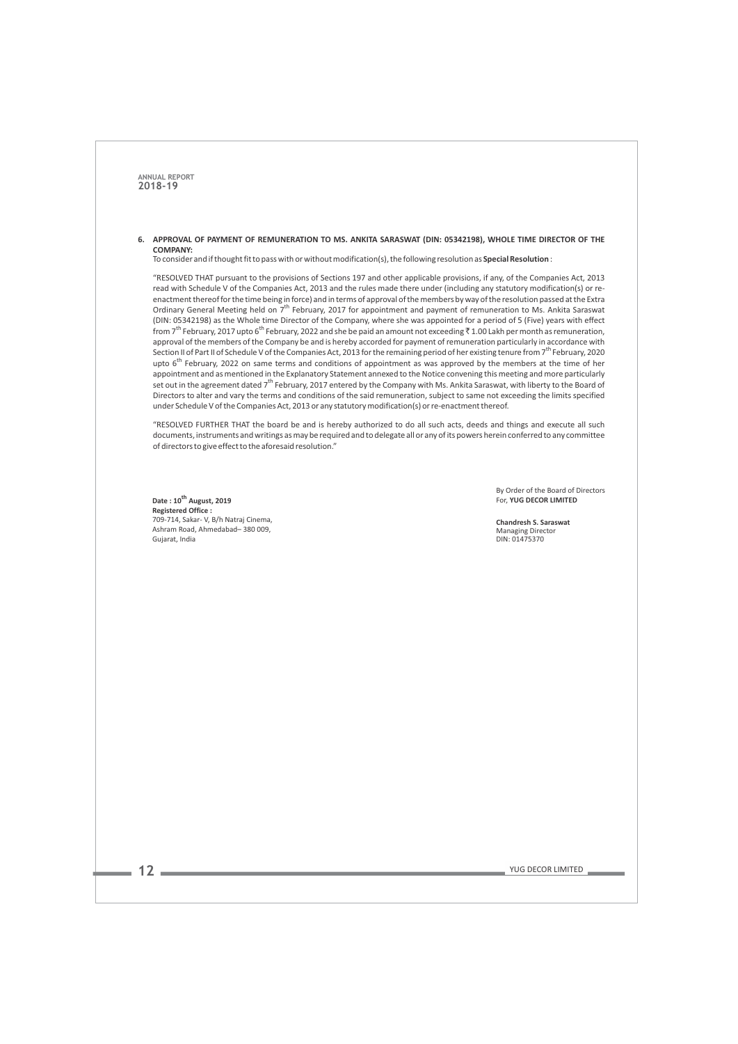

To consider and if thought fit to pass with or without modification(s), the following resolution as **Special Resolution**:

## **6. APPROVAL OF PAYMENT OF REMUNERATION TO MS. ANKITA SARASWAT (DIN: 05342198), WHOLE TIME DIRECTOR OF THE COMPANY:**

"RESOLVED THAT pursuant to the provisions of Sections 197 and other applicable provisions, if any, of the Companies Act, 2013 read with Schedule V of the Companies Act, 2013 and the rules made there under (including any statutory modification(s) or reenactment thereof for the time being in force) and in terms of approval of the members by way of the resolution passed at the Extra Ordinary General Meeting held on 7<sup>th</sup> February, 2017 for appointment and payment of remuneration to Ms. Ankita Saraswat (DIN: 05342198) as the Whole time Director of the Company, where she was appointed for a period of 5 (Five) years with effect from 7<sup>th</sup> February, 2017 upto 6<sup>th</sup> February, 2022 and she be paid an amount not exceeding  $\bar{\tau}$  1.00 Lakh per month as remuneration, approval of the members of the Company be and is hereby accorded for payment of remuneration particularly in accordance with Section II of Part II of Schedule V of the Companies Act, 2013 for the remaining period of her existing tenure from 7<sup>th</sup> February, 2020 upto  $6<sup>th</sup>$  February, 2022 on same terms and conditions of appointment as was approved by the members at the time of her appointment and as mentioned in the Explanatory Statement annexed to the Notice convening this meeting and more particularly set out in the agreement dated 7<sup>th</sup> February, 2017 entered by the Company with Ms. Ankita Saraswat, with liberty to the Board of Directors to alter and vary the terms and conditions of the said remuneration, subject to same not exceeding the limits specified under Schedule V of the Companies Act, 2013 or any statutory modification(s) or re-enactment thereof.

**Date: 10<sup>th</sup> August, 2019 Registered Office :** 709-714, Sakar- V, B/h Natraj Cinema, Ashram Road, Ahmedabad– 380 009, Gujarat, India

"RESOLVED FURTHER THAT the board be and is hereby authorized to do all such acts, deeds and things and execute all such documents, instruments and writings as may be required and to delegate all or any of its powers herein conferred to any committee of directors to give effect to the aforesaid resolution."

> **Chandresh S. Saraswat** Managing Director DIN: 01475370

By Order of the Board of Directors For, **YUG DECOR LIMITED**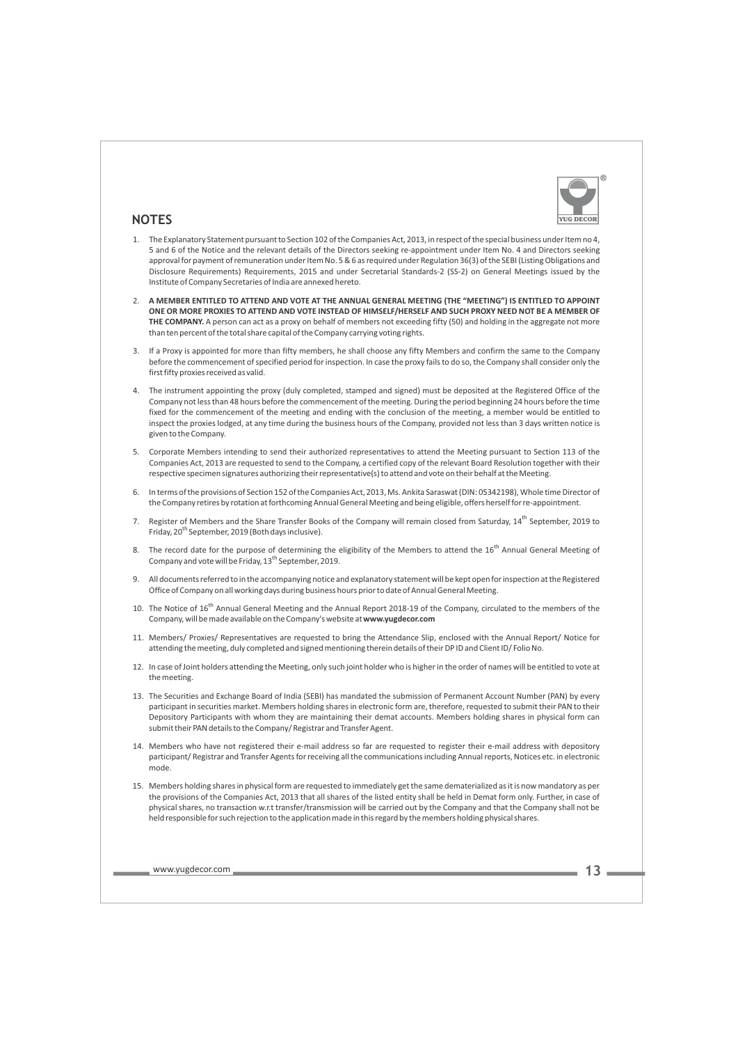- 1. The Explanatory Statement pursuant to Section 102 of the Companies Act, 2013, in respect of the special business under Item no 4, 5 and 6 of the Notice and the relevant details of the Directors seeking re-appointment under Item No. 4 and Directors seeking approval for payment of remuneration under Item No. 5 & 6 as required under Regulation 36(3) of the SEBI (Listing Obligations and Disclosure Requirements) Requirements, 2015 and under Secretarial Standards-2 (SS-2) on General Meetings issued by the Institute of Company Secretaries of India are annexed hereto.
- 2. **A MEMBER ENTITLED TO ATTEND AND VOTE AT THE ANNUAL GENERAL MEETING (THE "MEETING") IS ENTITLED TO APPOINT ONE OR MORE PROXIES TO ATTEND AND VOTE INSTEAD OF HIMSELF/HERSELF AND SUCH PROXY NEED NOT BE A MEMBER OF THE COMPANY.** A person can act as a proxy on behalf of members not exceeding fifty (50) and holding in the aggregate not more than ten percent of the total share capital of the Company carrying voting rights.
- 3. If a Proxy is appointed for more than fifty members, he shall choose any fifty Members and confirm the same to the Company before the commencement of specified period for inspection. In case the proxy fails to do so, the Company shall consider only the first fifty proxies received as valid.
- 4. The instrument appointing the proxy (duly completed, stamped and signed) must be deposited at the Registered Office of the Company not less than 48 hours before the commencement of the meeting. During the period beginning 24 hours before the time fixed for the commencement of the meeting and ending with the conclusion of the meeting, a member would be entitled to inspect the proxies lodged, at any time during the business hours of the Company, provided not less than 3 days written notice is given to the Company.
- 5. Corporate Members intending to send their authorized representatives to attend the Meeting pursuant to Section 113 of the Companies Act, 2013 are requested to send to the Company, a certified copy of the relevant Board Resolution together with their respective specimen signatures authorizing their representative(s) to attend and vote on their behalf at the Meeting.
- 6. In terms of the provisions of Section 152 of the Companies Act, 2013, Ms. Ankita Saraswat (DIN: 05342198), Whole time Director of the Company retires by rotation at forthcoming Annual General Meeting and being eligible, offers herself for re-appointment.
- 7. Register of Members and the Share Transfer Books of the Company will remain closed from Saturday,  $14<sup>th</sup>$  September, 2019 to Friday, 20<sup>th</sup> September, 2019 (Both days inclusive).
- 8. The record date for the purpose of determining the eligibility of the Members to attend the 16<sup>th</sup> Annual General Meeting of Company and vote will be Friday, 13<sup>th</sup> September, 2019.
- 9. All documents referred to in the accompanying notice and explanatory statement will be kept open for inspection at the Registered Office of Company on all working days during business hours prior to date of Annual General Meeting.
- 10. The Notice of 16<sup>th</sup> Annual General Meeting and the Annual Report 2018-19 of the Company, circulated to the members of the Company, will be made available on the Company's website at **www.yugdecor.com**
- 11. Members/ Proxies/ Representatives are requested to bring the Attendance Slip, enclosed with the Annual Report/ Notice for attending the meeting, duly completed and signed mentioning therein details of their DP ID and Client ID/ Folio No.
- 12. In case of Joint holders attending the Meeting, only such joint holder who is higher in the order of names will be entitled to vote at the meeting.
- 13. The Securities and Exchange Board of India (SEBI) has mandated the submission of Permanent Account Number (PAN) by every participant in securities market. Members holding shares in electronic form are, therefore, requested to submit their PAN to their Depository Participants with whom they are maintaining their demat accounts. Members holding shares in physical form can submit their PAN details to the Company/ Registrar and Transfer Agent.
- 14. Members who have not registered their e-mail address so far are requested to register their e-mail address with depository participant/ Registrar and Transfer Agents for receiving all the communications including Annual reports, Notices etc. in electronic mode.
- 15. Members holding shares in physical form are requested to immediately get the same dematerialized as it is now mandatory as per
- the provisions of the Companies Act, 2013 that all shares of the listed entity shall be held in Demat form only. Further, in case of physical shares, no transaction w.r.t transfer/transmission will be carried out by the Company and that the Company shall not be held responsible for such rejection to the application made in this regard by the members holding physical shares.



# **NOTES**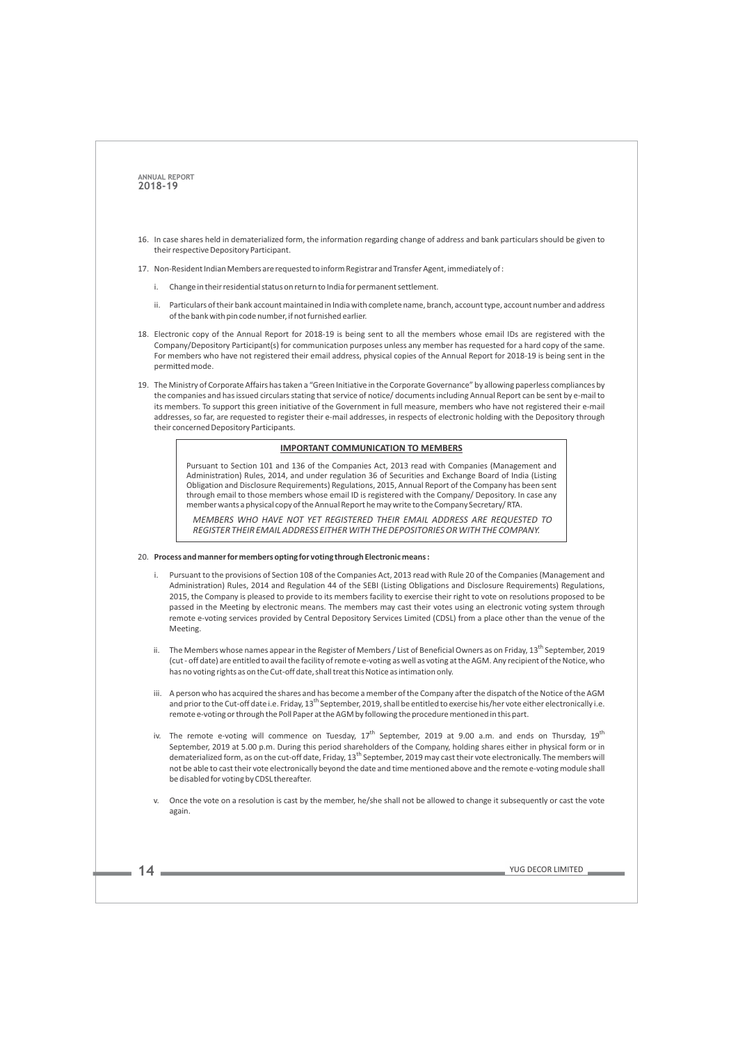- 16. In case shares held in dematerialized form, the information regarding change of address and bank particulars should be given to their respective Depository Participant.
- 17. Non-Resident Indian Members are requested to inform Registrar and Transfer Agent, immediately of :
	- i. Change in their residential status on return to India for permanent settlement.
	- ii. Particulars of their bank account maintained in India with complete name, branch, account type, account number and address of the bank with pin code number, if not furnished earlier.
- 18. Electronic copy of the Annual Report for 2018-19 is being sent to all the members whose email IDs are registered with the Company/Depository Participant(s) for communication purposes unless any member has requested for a hard copy of the same. For members who have not registered their email address, physical copies of the Annual Report for 2018-19 is being sent in the permitted mode.
- 19. The Ministry of Corporate Affairs has taken a "Green Initiative in the Corporate Governance" by allowing paperless compliances by the companies and has issued circulars stating that service of notice/ documents including Annual Report can be sent by e-mail to its members. To support this green initiative of the Government in full measure, members who have not registered their e-mail addresses, so far, are requested to register their e-mail addresses, in respects of electronic holding with the Depository through their concerned Depository Participants.



- i. Pursuant to the provisions of Section 108 of the Companies Act, 2013 read with Rule 20 of the Companies (Management and Administration) Rules, 2014 and Regulation 44 of the SEBI (Listing Obligations and Disclosure Requirements) Regulations, 2015, the Company is pleased to provide to its members facility to exercise their right to vote on resolutions proposed to be passed in the Meeting by electronic means. The members may cast their votes using an electronic voting system through remote e-voting services provided by Central Depository Services Limited (CDSL) from a place other than the venue of the Meeting.
- ii. The Members whose names appear in the Register of Members / List of Beneficial Owners as on Friday,  $13<sup>th</sup>$  September, 2019 (cut - off date) are entitled to avail the facility of remote e-voting as well as voting at the AGM. Any recipient of the Notice, who has no voting rights as on the Cut-off date, shall treat this Notice as intimation only.
- iii. A person who has acquired the shares and has become a member of the Company after the dispatch of the Notice of the AGM and prior to the Cut-off date i.e. Friday, 13<sup>th</sup> September, 2019, shall be entitled to exercise his/her vote either electronically i.e. remote e-voting or through the Poll Paper at the AGM by following the procedure mentioned in this part.
- iv. The remote e-voting will commence on Tuesday,  $17<sup>th</sup>$  September, 2019 at 9.00 a.m. and ends on Thursday,  $19<sup>th</sup>$ September, 2019 at 5.00 p.m. During this period shareholders of the Company, holding shares either in physical form or in dematerialized form, as on the cut-off date, Friday, 13<sup>th</sup> September, 2019 may cast their vote electronically. The members will not be able to cast their vote electronically beyond the date and time mentioned above and the remote e-voting module shall be disabled for voting by CDSL thereafter.

#### 20. **Process and manner for members opting for voting through Electronic means :**

#### **IMPORTANT COMMUNICATION TO MEMBERS**

Pursuant to Section 101 and 136 of the Companies Act, 2013 read with Companies (Management and Administration) Rules, 2014, and under regulation 36 of Securities and Exchange Board of India (Listing Obligation and Disclosure Requirements) Regulations, 2015, Annual Report of the Company has been sent through email to those members whose email ID is registered with the Company/ Depository. In case any member wants a physical copy of the Annual Report he may write to the Company Secretary/ RTA.

*MEMBERS WHO HAVE NOT YET REGISTERED THEIR EMAIL ADDRESS ARE REQUESTED TO REGISTER THEIR EMAIL ADDRESS EITHER WITH THE DEPOSITORIES OR WITH THE COMPANY.*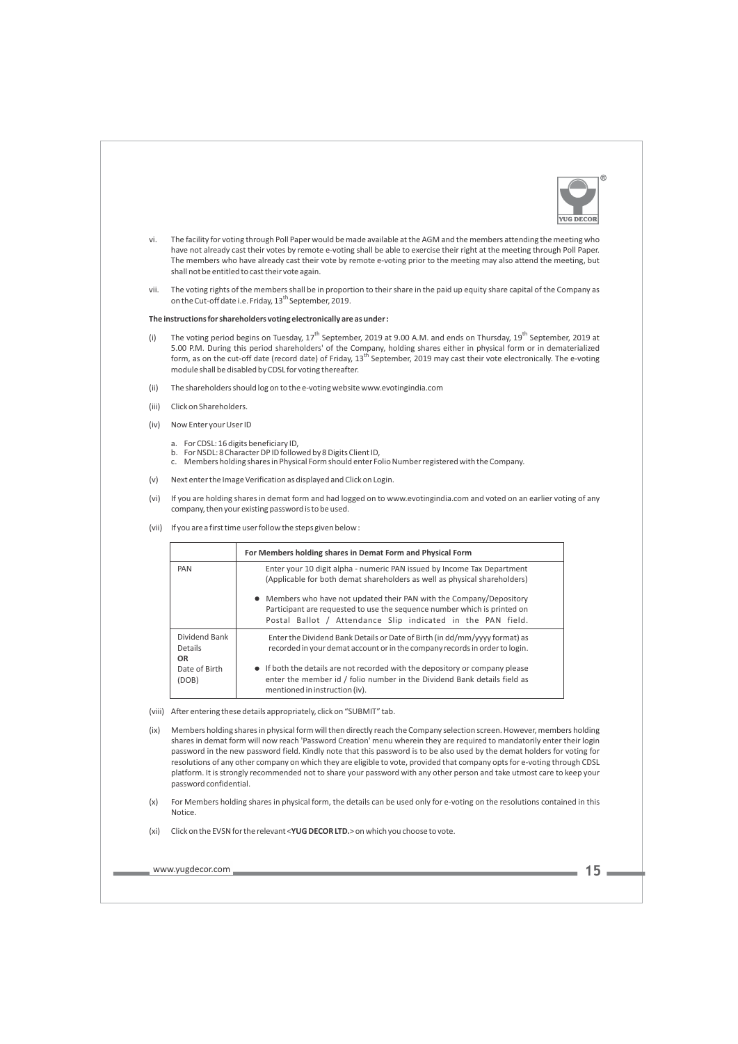- (i) The voting period begins on Tuesday,  $17^{th}$  September, 2019 at 9.00 A.M. and ends on Thursday,  $19^{th}$  September, 2019 at 5.00 P.M. During this period shareholders' of the Company, holding shares either in physical form or in dematerialized form, as on the cut-off date (record date) of Friday,  $13<sup>th</sup>$  September, 2019 may cast their vote electronically. The e-voting module shall be disabled by CDSL for voting thereafter.
- (ii) The shareholders should log on to the e-voting website www.evotingindia.com
- (iii) Click on Shareholders.
- (iv) Now Enter your User ID
	- a. For CDSL: 16 digits beneficiary ID,
	- b. For NSDL: 8 Character DP ID followed by 8 Digits Client ID,
	- c. Members holding shares in Physical Form should enter Folio Number registered with the Company.
- (v) Next enter the Image Verification as displayed and Click on Login.
- (vi) If you are holding shares in demat form and had logged on to www.evotingindia.com and voted on an earlier voting of any company, then your existing password is to be used.
- (vii) If you are a first time user follow the steps given below :



- vi. The facility for voting through Poll Paper would be made available at the AGM and the members attending the meeting who have not already cast their votes by remote e-voting shall be able to exercise their right at the meeting through Poll Paper. The members who have already cast their vote by remote e-voting prior to the meeting may also attend the meeting, but shall not be entitled to cast their vote again.
- vii. The voting rights of the members shall be in proportion to their share in the paid up equity share capital of the Company as on the Cut-off date i.e. Friday, 13<sup>th</sup> September, 2019.

- (viii) After entering these details appropriately, click on "SUBMIT" tab.
- (ix) Members holding shares in physical form will then directly reach the Company selection screen. However, members holding shares in demat form will now reach 'Password Creation' menu wherein they are required to mandatorily enter their login password in the new password field. Kindly note that this password is to be also used by the demat holders for voting for resolutions of any other company on which they are eligible to vote, provided that company opts for e-voting through CDSL platform. It is strongly recommended not to share your password with any other person and take utmost care to keep your password confidential.
- (x) For Members holding shares in physical form, the details can be used only for e-voting on the resolutions contained in this Notice.
- (xi) Click on the EVSN for the relevant <**YUG DECOR LTD.**> on which you choose to vote.

## **The instructions for shareholders voting electronically are as under :**

|                                       | For Members holding shares in Demat Form and Physical Form                                                                                                                                                      |
|---------------------------------------|-----------------------------------------------------------------------------------------------------------------------------------------------------------------------------------------------------------------|
| PAN                                   | Enter your 10 digit alpha - numeric PAN issued by Income Tax Department<br>(Applicable for both demat shareholders as well as physical shareholders)                                                            |
|                                       | • Members who have not updated their PAN with the Company/Depository<br>Participant are requested to use the sequence number which is printed on<br>Postal Ballot / Attendance Slip indicated in the PAN field. |
| Dividend Bank<br>Details<br><b>OR</b> | Enter the Dividend Bank Details or Date of Birth (in dd/mm/yyyy format) as<br>recorded in your demat account or in the company records in order to login.                                                       |
| Date of Birth<br>(DOB)                | • If both the details are not recorded with the depository or company please<br>enter the member id / folio number in the Dividend Bank details field as<br>mentioned in instruction (iv).                      |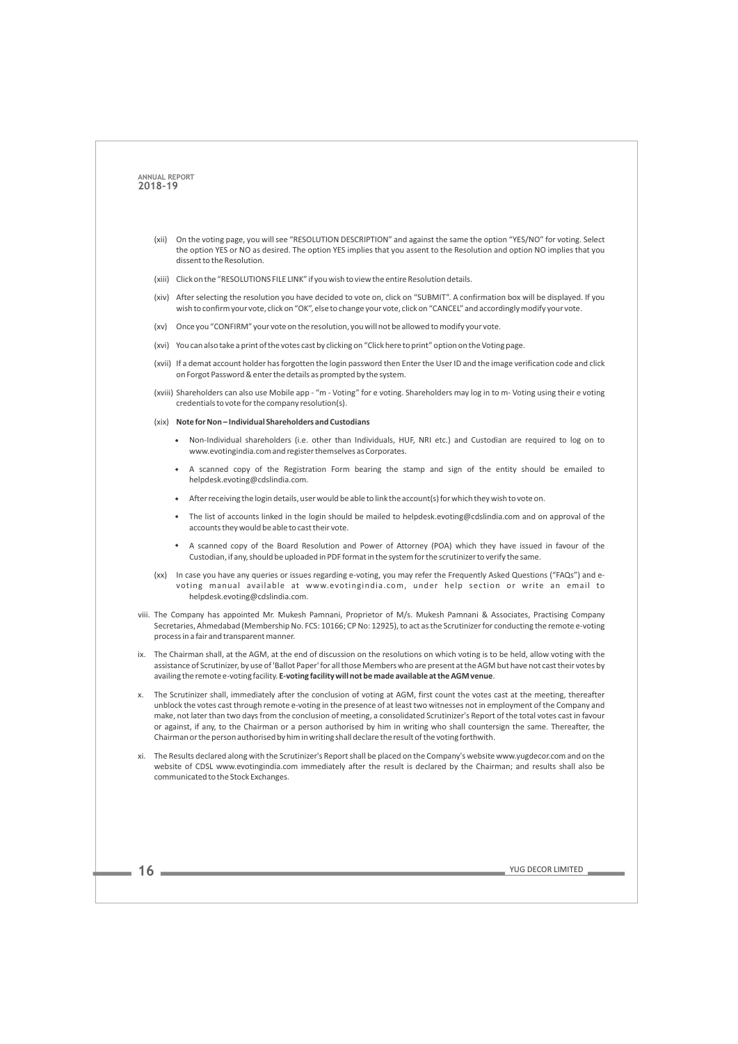

- (xii) On the voting page, you will see "RESOLUTION DESCRIPTION" and against the same the option "YES/NO" for voting. Select the option YES or NO as desired. The option YES implies that you assent to the Resolution and option NO implies that you dissent to the Resolution.
- (xiii) Click on the "RESOLUTIONS FILE LINK" if you wish to view the entire Resolution details.
- (xiv) After selecting the resolution you have decided to vote on, click on "SUBMIT". A confirmation box will be displayed. If you wish to confirm your vote, click on "OK", else to change your vote, click on "CANCEL" and accordingly modify your vote.
- (xv) Once you "CONFIRM" your vote on the resolution, you will not be allowed to modify your vote.
- (xvi) You can also take a print of the votes cast by clicking on "Click here to print" option on the Voting page.
- (xvii) If a demat account holder has forgotten the login password then Enter the User ID and the image verification code and click on Forgot Password & enter the details as prompted by the system.
- (xviii) Shareholders can also use Mobile app "m Voting" for e voting. Shareholders may log in to m- Voting using their e voting credentials to vote for the company resolution(s).
- (xix) **Note for Non Individual Shareholders and Custodians**
	- · Non-Individual shareholders (i.e. other than Individuals, HUF, NRI etc.) and Custodian are required to log on to www.evotingindia.com and register themselves as Corporates.
	- · A scanned copy of the Registration Form bearing the stamp and sign of the entity should be emailed to helpdesk.evoting@cdslindia.com.
	- · After receiving the login details, user would be able to link the account(s) for which they wish to vote on.
	- · The list of accounts linked in the login should be mailed to helpdesk.evoting@cdslindia.com and on approval of the accounts they would be able to cast their vote.
	- · A scanned copy of the Board Resolution and Power of Attorney (POA) which they have issued in favour of the Custodian, if any, should be uploaded in PDF format in the system for the scrutinizer to verify the same.
- (xx) In case you have any queries or issues regarding e-voting, you may refer the Frequently Asked Questions ("FAQs") and evoting manual available at www.evotingindia.com, under help section or write an email to helpdesk.evoting@cdslindia.com.
- viii. The Company has appointed Mr. Mukesh Pamnani, Proprietor of M/s. Mukesh Pamnani & Associates, Practising Company Secretaries, Ahmedabad (Membership No. FCS: 10166; CP No: 12925), to act as the Scrutinizer for conducting the remote e-voting process in a fair and transparent manner.
- ix. The Chairman shall, at the AGM, at the end of discussion on the resolutions on which voting is to be held, allow voting with the assistance of Scrutinizer, by use of 'Ballot Paper' for all those Members who are present at the AGM but have not cast their votes by availing the remote e-voting facility. **E-voting facility will not be made available at the AGM venue**.
- x. The Scrutinizer shall, immediately after the conclusion of voting at AGM, first count the votes cast at the meeting, thereafter unblock the votes cast through remote e-voting in the presence of at least two witnesses not in employment of the Company and make, not later than two days from the conclusion of meeting, a consolidated Scrutinizer's Report of the total votes cast in favour or against, if any, to the Chairman or a person authorised by him in writing who shall countersign the same. Thereafter, the Chairman or the person authorised by him in writing shall declare the result of the voting forthwith.
- xi. The Results declared along with the Scrutinizer's Report shall be placed on the Company's website www.yugdecor.com and on the website of CDSL www.evotingindia.com immediately after the result is declared by the Chairman; and results shall also be communicated to the Stock Exchanges.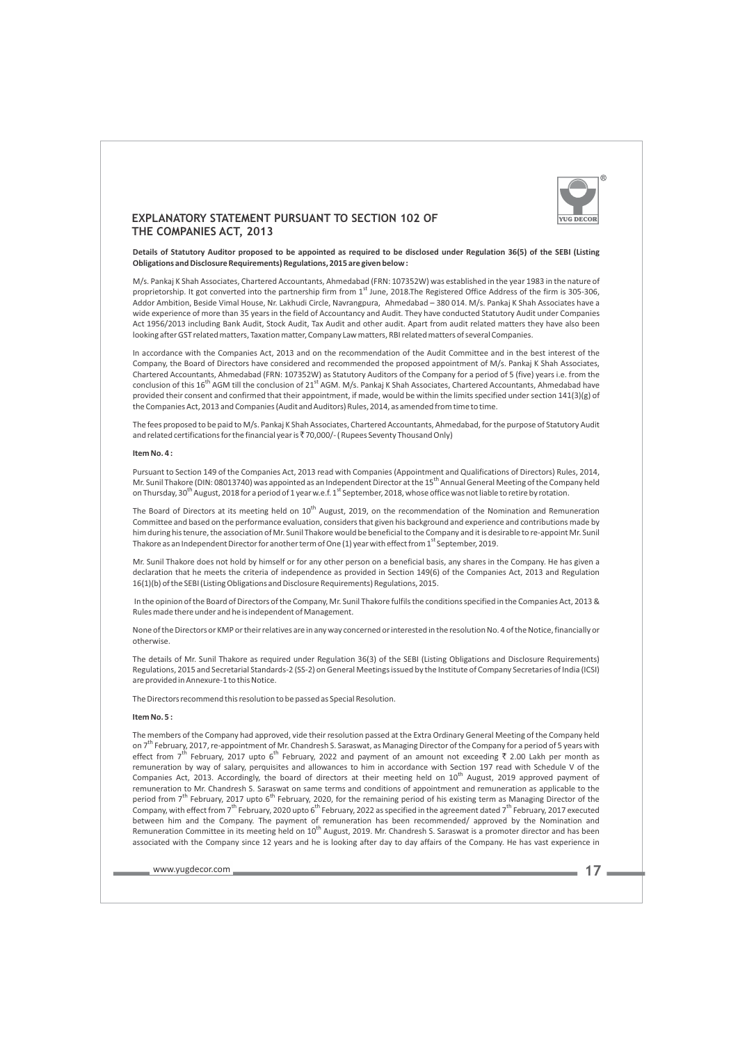The fees proposed to be paid to M/s. Pankaj K Shah Associates, Chartered Accountants, Ahmedabad, for the purpose of Statutory Audit and related certifications for the financial year is  $\bar{\tau}$  70,000/- (Rupees Seventy Thousand Only)

M/s. Pankaj K Shah Associates, Chartered Accountants, Ahmedabad (FRN: 107352W) was established in the year 1983 in the nature of proprietorship. It got converted into the partnership firm from 1<sup>st</sup> June, 2018.The Registered Office Address of the firm is 305-306, Addor Ambition, Beside Vimal House, Nr. Lakhudi Circle, Navrangpura, Ahmedabad – 380 014. M/s. Pankaj K Shah Associates have a wide experience of more than 35 years in the field of Accountancy and Audit. They have conducted Statutory Audit under Companies Act 1956/2013 including Bank Audit, Stock Audit, Tax Audit and other audit. Apart from audit related matters they have also been looking after GST related matters, Taxation matter, Company Law matters, RBI related matters of several Companies.

Pursuant to Section 149 of the Companies Act, 2013 read with Companies (Appointment and Qualifications of Directors) Rules, 2014, Mr. Sunil Thakore (DIN: 08013740) was appointed as an Independent Director at the 15<sup>th</sup> Annual General Meeting of the Company held on Thursday, 30<sup>th</sup> August, 2018 for a period of 1 year w.e.f. 1<sup>st</sup> September, 2018, whose office was not liable to retire by rotation.

The Board of Directors at its meeting held on 10<sup>th</sup> August, 2019, on the recommendation of the Nomination and Remuneration Committee and based on the performance evaluation, considers that given his background and experience and contributions made by him during his tenure, the association of Mr. Sunil Thakore would be beneficial to the Company and it is desirable to re-appoint Mr. Sunil Thakore as an Independent Director for another term of One (1) year with effect from  $1^{\rm st}$  September, 2019.

In the opinion of the Board of Directors of the Company, Mr. Sunil Thakore fulfils the conditions specified in the Companies Act, 2013 & Rules made there under and he is independent of Management.

**Details of Statutory Auditor proposed to be appointed as required to be disclosed under Regulation 36(5) of the SEBI (Listing Obligations and Disclosure Requirements) Regulations, 2015 are given below :**

In accordance with the Companies Act, 2013 and on the recommendation of the Audit Committee and in the best interest of the Company, the Board of Directors have considered and recommended the proposed appointment of M/s. Pankaj K Shah Associates, Chartered Accountants, Ahmedabad (FRN: 107352W) as Statutory Auditors of the Company for a period of 5 (five) years i.e. from the conclusion of this 16<sup>th</sup> AGM till the conclusion of 21<sup>st</sup> AGM. M/s. Pankaj K Shah Associates, Chartered Accountants, Ahmedabad have provided their consent and confirmed that their appointment, if made, would be within the limits specified under section 141(3)(g) of the Companies Act, 2013 and Companies (Audit and Auditors) Rules, 2014, as amended from time to time.

#### **Item No. 4 :**

Mr. Sunil Thakore does not hold by himself or for any other person on a beneficial basis, any shares in the Company. He has given a declaration that he meets the criteria of independence as provided in Section 149(6) of the Companies Act, 2013 and Regulation 16(1)(b) of the SEBI (Listing Obligations and Disclosure Requirements) Regulations, 2015.

None of the Directors or KMP or their relatives are in any way concerned or interested in the resolution No. 4 of the Notice, financially or otherwise.

The details of Mr. Sunil Thakore as required under Regulation 36(3) of the SEBI (Listing Obligations and Disclosure Requirements) Regulations, 2015 and Secretarial Standards-2 (SS-2) on General Meetings issued by the Institute of Company Secretaries of India (ICSI) are provided in Annexure-1 to this Notice.

#### **Item No. 5 :**

The Directors recommend this resolution to be passed as Special Resolution.

The members of the Company had approved, vide their resolution passed at the Extra Ordinary General Meeting of the Company held on 7<sup>th</sup> February, 2017, re-appointment of Mr. Chandresh S. Saraswat, as Managing Director of the Company for a period of 5 years with effect from 7<sup>th</sup> February, 2017 upto 6<sup>th</sup> February, 2022 and payment of an amount not exceeding ₹ 2.00 Lakh per month as remuneration by way of salary, perquisites and allowances to him in accordance with Section 197 read with Schedule V of the Companies Act, 2013. Accordingly, the board of directors at their meeting held on  $10^{th}$  August, 2019 approved payment of remuneration to Mr. Chandresh S. Saraswat on same terms and conditions of appointment and remuneration as applicable to the period from 7<sup>th</sup> February, 2017 upto 6<sup>th</sup> February, 2020, for the remaining period of his existing term as Managing Director of the Company, with effect from  $7^{th}$  February, 2020 upto 6<sup>th</sup> February, 2022 as specified in the agreement dated  $7^{th}$  February, 2017 executed between him and the Company. The payment of remuneration has been recommended/ approved by the Nomination and Remuneration Committee in its meeting held on 10<sup>th</sup> August, 2019. Mr. Chandresh S. Saraswat is a promoter director and has been associated with the Company since 12 years and he is looking after day to day affairs of the Company. He has vast experience in



## **EXPLANATORY STATEMENT PURSUANT TO SECTION 102 OF THE COMPANIES ACT, 2013**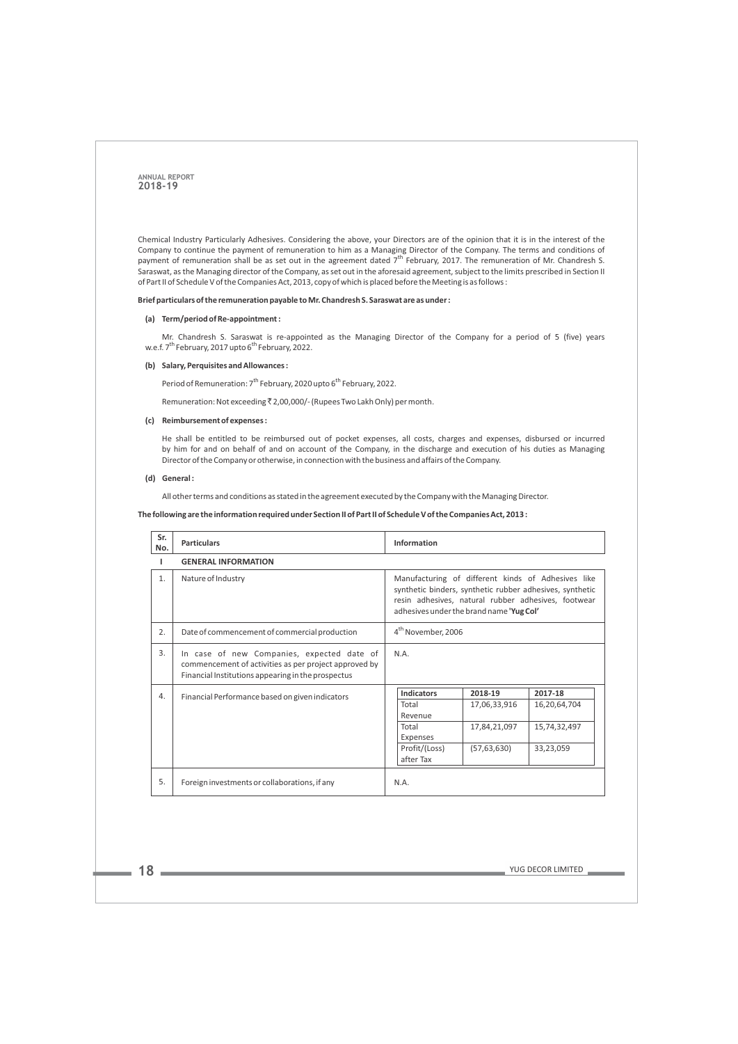**(d) General :**

#### **(c) Reimbursement of expenses :**

All other terms and conditions as stated in the agreement executed by the Company with the Managing Director.

Remuneration: Not exceeding ` 2,00,000/- (Rupees Two Lakh Only) per month.

He shall be entitled to be reimbursed out of pocket expenses, all costs, charges and expenses, disbursed or incurred by him for and on behalf of and on account of the Company, in the discharge and execution of his duties as Managing Director of the Company or otherwise, in connection with the business and affairs of the Company.

#### **The following are the information required under Section II of Part II of Schedule V of the Companies Act, 2013 :**

Mr. Chandresh S. Saraswat is re-appointed as the Managing Director of the Company for a period of 5 (five) years w.e.f. 7<sup>th</sup> February, 2017 upto 6<sup>th</sup> February, 2022.

Chemical Industry Particularly Adhesives. Considering the above, your Directors are of the opinion that it is in the interest of the Company to continue the payment of remuneration to him as a Managing Director of the Company. The terms and conditions of payment of remuneration shall be as set out in the agreement dated 7<sup>th</sup> February, 2017. The remuneration of Mr. Chandresh S. Saraswat, as the Managing director of the Company, as set out in the aforesaid agreement, subject to the limits prescribed in Section II of Part II of Schedule V of the Companies Act, 2013, copy of which is placed before the Meeting is as follows :



## **Brief particulars of the remuneration payable to Mr. Chandresh S. Saraswat are as under :**

#### **(a) Term/period of Re-appointment :**

## **(b) Salary, Perquisites and Allowances :**

Period of Remuneration: 7<sup>th</sup> February, 2020 upto 6<sup>th</sup> February, 2022.

| Sr.<br>No. | <b>Particulars</b>                                                                                                                                        | <b>Information</b>                                                                       |                                                          |                                                                                                                                                                       |
|------------|-----------------------------------------------------------------------------------------------------------------------------------------------------------|------------------------------------------------------------------------------------------|----------------------------------------------------------|-----------------------------------------------------------------------------------------------------------------------------------------------------------------------|
|            | <b>GENERAL INFORMATION</b>                                                                                                                                |                                                                                          |                                                          |                                                                                                                                                                       |
| 1.         | Nature of Industry                                                                                                                                        |                                                                                          | adhesives under the brand name 'Yug Col'                 | Manufacturing of different kinds of Adhesives like<br>synthetic binders, synthetic rubber adhesives, synthetic<br>resin adhesives, natural rubber adhesives, footwear |
| 2.         | Date of commencement of commercial production                                                                                                             | 4 <sup>th</sup> November, 2006                                                           |                                                          |                                                                                                                                                                       |
| 3.         | In case of new Companies, expected date of<br>commencement of activities as per project approved by<br>Financial Institutions appearing in the prospectus | N.A.                                                                                     |                                                          |                                                                                                                                                                       |
| 4.         | Financial Performance based on given indicators                                                                                                           | <b>Indicators</b><br>Total<br>Revenue<br>Total<br>Expenses<br>Profit/(Loss)<br>after Tax | 2018-19<br>17,06,33,916<br>17,84,21,097<br>(57, 63, 630) | 2017-18<br>16,20,64,704<br>15,74,32,497<br>33,23,059                                                                                                                  |
| 5.         | Foreign investments or collaborations, if any                                                                                                             | N.A.                                                                                     |                                                          |                                                                                                                                                                       |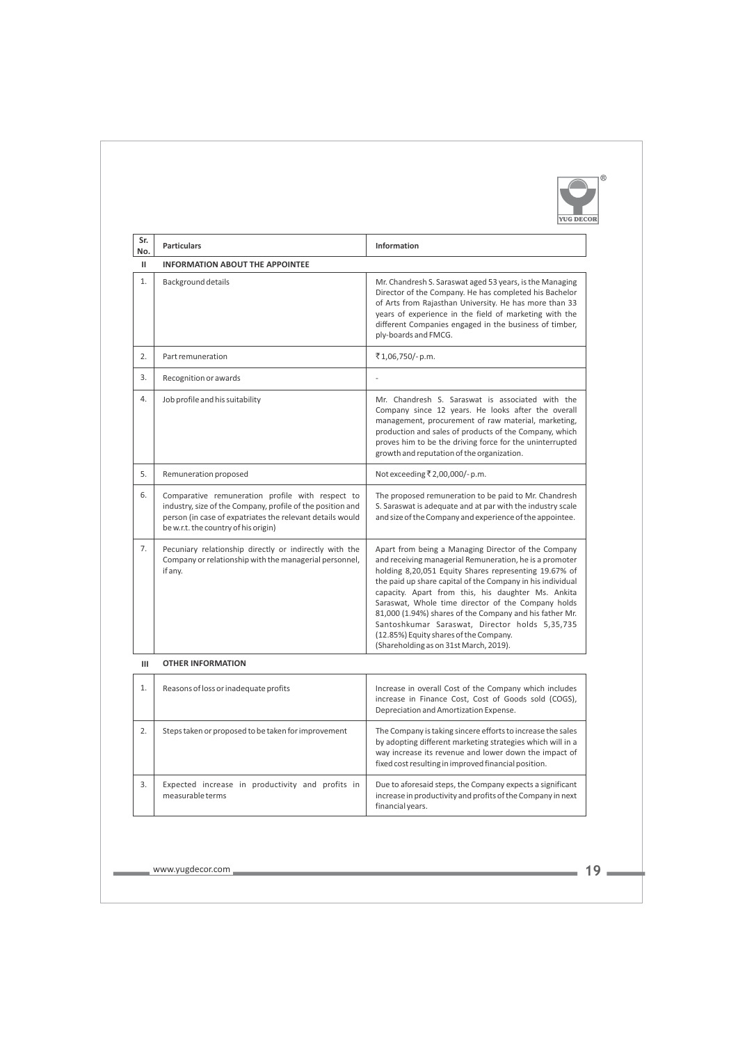|  | measurable terms | increase in productivity and profits of the Company in next<br>financial years. |  |
|--|------------------|---------------------------------------------------------------------------------|--|
|  |                  |                                                                                 |  |
|  | www.yugdecor.com |                                                                                 |  |
|  |                  |                                                                                 |  |



| Sr.<br>No. | <b>Particulars</b>                                                                                                                                                                                                  | <b>Information</b>                                                                                                                                                                                                                                                                                                                                                                                                                                                                                                                                 |  |
|------------|---------------------------------------------------------------------------------------------------------------------------------------------------------------------------------------------------------------------|----------------------------------------------------------------------------------------------------------------------------------------------------------------------------------------------------------------------------------------------------------------------------------------------------------------------------------------------------------------------------------------------------------------------------------------------------------------------------------------------------------------------------------------------------|--|
| Ш          | <b>INFORMATION ABOUT THE APPOINTEE</b>                                                                                                                                                                              |                                                                                                                                                                                                                                                                                                                                                                                                                                                                                                                                                    |  |
| 1.         | <b>Background details</b>                                                                                                                                                                                           | Mr. Chandresh S. Saraswat aged 53 years, is the Managing<br>Director of the Company. He has completed his Bachelor<br>of Arts from Rajasthan University. He has more than 33<br>years of experience in the field of marketing with the<br>different Companies engaged in the business of timber,<br>ply-boards and FMCG.                                                                                                                                                                                                                           |  |
| 2.         | Part remuneration                                                                                                                                                                                                   | ₹1,06,750/-p.m.                                                                                                                                                                                                                                                                                                                                                                                                                                                                                                                                    |  |
| 3.         | Recognition or awards                                                                                                                                                                                               |                                                                                                                                                                                                                                                                                                                                                                                                                                                                                                                                                    |  |
| 4.         | Job profile and his suitability                                                                                                                                                                                     | Mr. Chandresh S. Saraswat is associated with the<br>Company since 12 years. He looks after the overall<br>management, procurement of raw material, marketing,<br>production and sales of products of the Company, which<br>proves him to be the driving force for the uninterrupted<br>growth and reputation of the organization.                                                                                                                                                                                                                  |  |
| 5.         | Remuneration proposed                                                                                                                                                                                               | Not exceeding ₹2,00,000/-p.m.                                                                                                                                                                                                                                                                                                                                                                                                                                                                                                                      |  |
| 6.         | Comparative remuneration profile with respect to<br>industry, size of the Company, profile of the position and<br>person (in case of expatriates the relevant details would<br>be w.r.t. the country of his origin) | The proposed remuneration to be paid to Mr. Chandresh<br>S. Saraswat is adequate and at par with the industry scale<br>and size of the Company and experience of the appointee.                                                                                                                                                                                                                                                                                                                                                                    |  |
| 7.         | Pecuniary relationship directly or indirectly with the<br>Company or relationship with the managerial personnel,<br>if any.                                                                                         | Apart from being a Managing Director of the Company<br>and receiving managerial Remuneration, he is a promoter<br>holding 8,20,051 Equity Shares representing 19.67% of<br>the paid up share capital of the Company in his individual<br>capacity. Apart from this, his daughter Ms. Ankita<br>Saraswat, Whole time director of the Company holds<br>81,000 (1.94%) shares of the Company and his father Mr.<br>Santoshkumar Saraswat, Director holds 5,35,735<br>(12.85%) Equity shares of the Company.<br>(Shareholding as on 31st March, 2019). |  |
| Ш          | <b>OTHER INFORMATION</b>                                                                                                                                                                                            |                                                                                                                                                                                                                                                                                                                                                                                                                                                                                                                                                    |  |

| ī. | Reasons of loss or inadequate profits               | Increase in overall Cost of the Company which includes<br>increase in Finance Cost, Cost of Goods sold (COGS),<br>Depreciation and Amortization Expense.                                                                                   |
|----|-----------------------------------------------------|--------------------------------------------------------------------------------------------------------------------------------------------------------------------------------------------------------------------------------------------|
| 2. | Steps taken or proposed to be taken for improvement | The Company is taking sincere efforts to increase the sales<br>by adopting different marketing strategies which will in a<br>way increase its revenue and lower down the impact of<br>fixed cost resulting in improved financial position. |
| 3. | Expected increase in productivity and<br>profits in | Due to aforesaid steps, the Company expects a significant                                                                                                                                                                                  |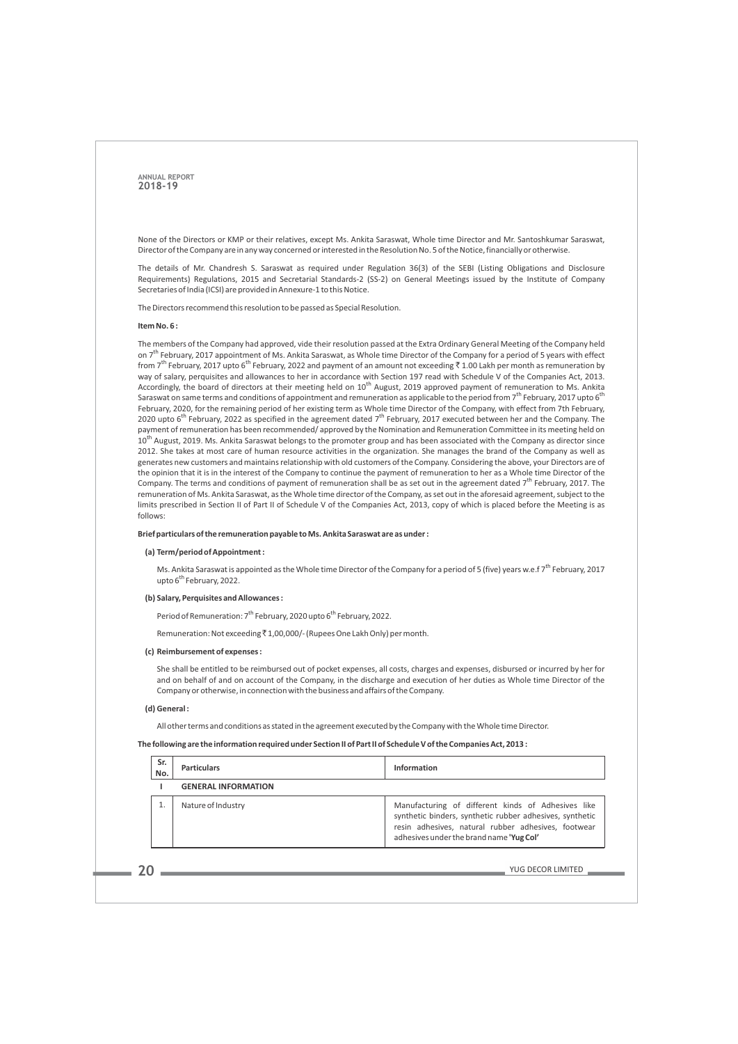None of the Directors or KMP or their relatives, except Ms. Ankita Saraswat, Whole time Director and Mr. Santoshkumar Saraswat, Director of the Company are in any way concerned or interested in the Resolution No. 5 of the Notice, financially or otherwise.

The details of Mr. Chandresh S. Saraswat as required under Regulation 36(3) of the SEBI (Listing Obligations and Disclosure Requirements) Regulations, 2015 and Secretarial Standards-2 (SS-2) on General Meetings issued by the Institute of Company Secretaries of India (ICSI) are provided in Annexure-1 to this Notice.

The Directors recommend this resolution to be passed as Special Resolution.

#### **Item No. 6 :**

The members of the Company had approved, vide their resolution passed at the Extra Ordinary General Meeting of the Company held on 7<sup>th</sup> February, 2017 appointment of Ms. Ankita Saraswat, as Whole time Director of the Company for a period of 5 years with effect from 7<sup>th</sup> February, 2017 upto 6<sup>th</sup> February, 2022 and payment of an amount not exceeding  $\bar{\tau}$  1.00 Lakh per month as remuneration by way of salary, perquisites and allowances to her in accordance with Section 197 read with Schedule V of the Companies Act, 2013. Accordingly, the board of directors at their meeting held on 10<sup>th</sup> August, 2019 approved payment of remuneration to Ms. Ankita Saraswat on same terms and conditions of appointment and remuneration as applicable to the period from 7<sup>th</sup> February, 2017 upto 6<sup>th</sup> February, 2020, for the remaining period of her existing term as Whole time Director of the Company, with effect from 7th February, 2020 upto 6<sup>th</sup> February, 2022 as specified in the agreement dated 7<sup>th</sup> February, 2017 executed between her and the Company. The payment of remuneration has been recommended/ approved by the Nomination and Remuneration Committee in its meeting held on 10<sup>th</sup> August, 2019. Ms. Ankita Saraswat belongs to the promoter group and has been associated with the Company as director since 2012. She takes at most care of human resource activities in the organization. She manages the brand of the Company as well as generates new customers and maintains relationship with old customers of the Company. Considering the above, your Directors are of the opinion that it is in the interest of the Company to continue the payment of remuneration to her as a Whole time Director of the Company. The terms and conditions of payment of remuneration shall be as set out in the agreement dated  $7<sup>th</sup>$  February, 2017. The remuneration of Ms. Ankita Saraswat, as the Whole time director of the Company, as set out in the aforesaid agreement, subject to the limits prescribed in Section II of Part II of Schedule V of the Companies Act, 2013, copy of which is placed before the Meeting is as follows:

| <b>GENERAL INFORMATION</b><br>Nature of Industry<br>ī.<br>adhesives under the brand name 'Yug Col' | Sr.<br>No. | <b>Particulars</b> | <b>Information</b>                                                                                                                                                    |
|----------------------------------------------------------------------------------------------------|------------|--------------------|-----------------------------------------------------------------------------------------------------------------------------------------------------------------------|
|                                                                                                    |            |                    |                                                                                                                                                                       |
|                                                                                                    |            |                    | Manufacturing of different kinds of Adhesives like<br>synthetic binders, synthetic rubber adhesives, synthetic<br>resin adhesives, natural rubber adhesives, footwear |
|                                                                                                    |            |                    |                                                                                                                                                                       |

#### **(a) Term/period of Appointment :**

Ms. Ankita Saraswat is appointed as the Whole time Director of the Company for a period of 5 (five) years w.e.f 7<sup>th</sup> February, 2017 upto  $6<sup>th</sup>$  February, 2022.

#### **(d) General :**

#### **(c) Reimbursement of expenses :**

She shall be entitled to be reimbursed out of pocket expenses, all costs, charges and expenses, disbursed or incurred by her for and on behalf of and on account of the Company, in the discharge and execution of her duties as Whole time Director of the Company or otherwise, in connection with the business and affairs of the Company.

#### **Brief particulars of the remuneration payable to Ms. Ankita Saraswat are as under :**

#### **The following are the information required under Section II of Part II of Schedule V of the Companies Act, 2013 :**

All other terms and conditions as stated in the agreement executed by the Company with the Whole time Director.

#### **(b) Salary, Perquisites and Allowances :**

Period of Remuneration: 7<sup>th</sup> February, 2020 upto 6<sup>th</sup> February, 2022.

Remuneration: Not exceeding ₹1,00,000/- (Rupees One Lakh Only) per month.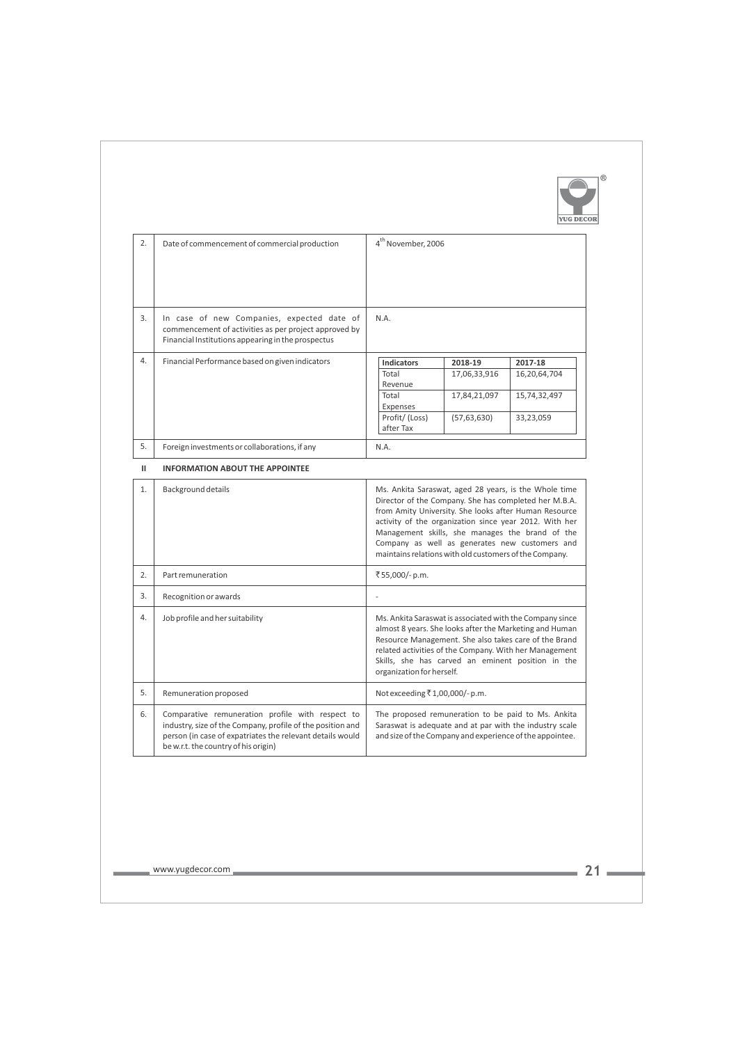

| 1. | Background details                                                                                                                                                                                                  | Ms. Ankita Saraswat, aged 28 years, is the Whole time<br>Director of the Company. She has completed her M.B.A.<br>from Amity University. She looks after Human Resource<br>activity of the organization since year 2012. With her<br>Management skills, she manages the brand of the<br>Company as well as generates new customers and<br>maintains relations with old customers of the Company. |
|----|---------------------------------------------------------------------------------------------------------------------------------------------------------------------------------------------------------------------|--------------------------------------------------------------------------------------------------------------------------------------------------------------------------------------------------------------------------------------------------------------------------------------------------------------------------------------------------------------------------------------------------|
| 2. | Part remuneration                                                                                                                                                                                                   | ₹55,000/-p.m.                                                                                                                                                                                                                                                                                                                                                                                    |
| 3. | Recognition or awards                                                                                                                                                                                               |                                                                                                                                                                                                                                                                                                                                                                                                  |
| 4. | Job profile and her suitability                                                                                                                                                                                     | Ms. Ankita Saraswat is associated with the Company since<br>almost 8 years. She looks after the Marketing and Human<br>Resource Management. She also takes care of the Brand<br>related activities of the Company. With her Management<br>Skills, she has carved an eminent position in the<br>organization for herself.                                                                         |
| 5. | Remuneration proposed                                                                                                                                                                                               | Not exceeding ₹1,00,000/-p.m.                                                                                                                                                                                                                                                                                                                                                                    |
| 6. | Comparative remuneration profile with respect to<br>industry, size of the Company, profile of the position and<br>person (in case of expatriates the relevant details would<br>be w.r.t. the country of his origin) | The proposed remuneration to be paid to Ms. Ankita<br>Saraswat is adequate and at par with the industry scale<br>and size of the Company and experience of the appointee.                                                                                                                                                                                                                        |



| 2. | Date of commencement of commercial production                                                                                                             | 4 <sup>th</sup> November, 2006                                                            |                                                          |                                                      |
|----|-----------------------------------------------------------------------------------------------------------------------------------------------------------|-------------------------------------------------------------------------------------------|----------------------------------------------------------|------------------------------------------------------|
| 3. | In case of new Companies, expected date of<br>commencement of activities as per project approved by<br>Financial Institutions appearing in the prospectus | N.A.                                                                                      |                                                          |                                                      |
| 4. | Financial Performance based on given indicators                                                                                                           | <b>Indicators</b><br>Total<br>Revenue<br>Total<br>Expenses<br>Profit/ (Loss)<br>after Tax | 2018-19<br>17,06,33,916<br>17,84,21,097<br>(57, 63, 630) | 2017-18<br>16,20,64,704<br>15,74,32,497<br>33,23,059 |
| 5. | Foreign investments or collaborations, if any                                                                                                             | N.A.                                                                                      |                                                          |                                                      |

## **II INFORMATION ABOUT THE APPOINTEE**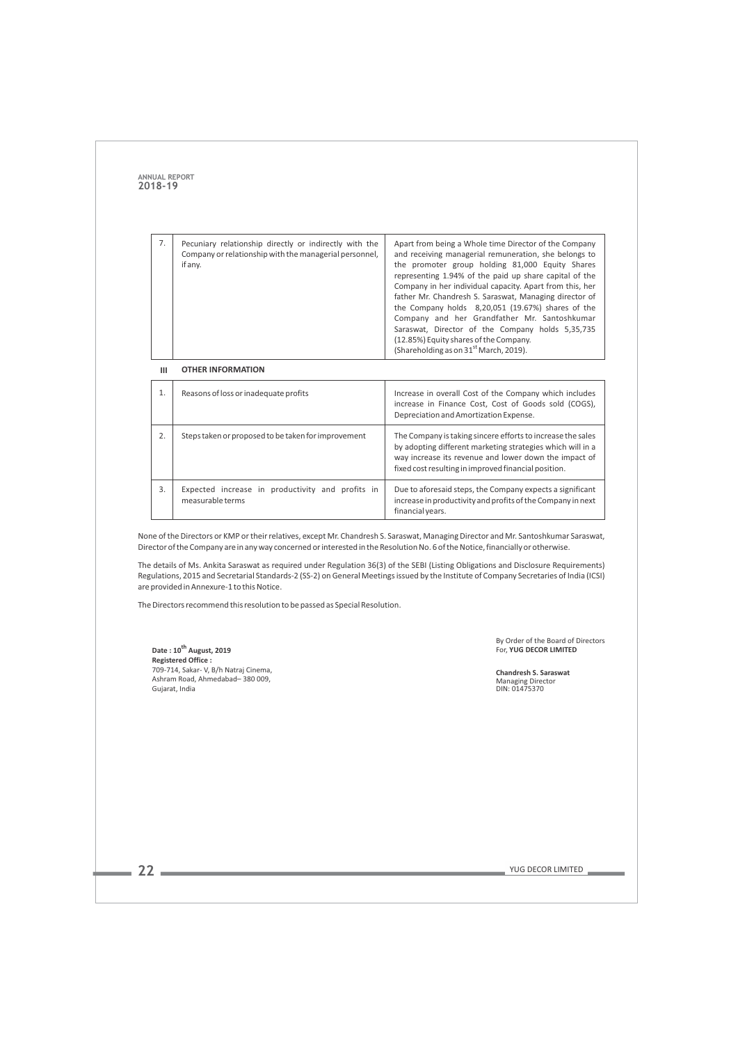

| Pecuniary relationship directly or indirectly with the | Apart from being a Whole time Director of the Company    |
|--------------------------------------------------------|----------------------------------------------------------|
| Company or relationship with the managerial personnel, | and receiving managerial remuneration, she belongs to    |
| if any.                                                | the promoter group holding 81,000 Equity Shares          |
|                                                        | representing 1.94% of the paid up share capital of the   |
|                                                        | Company in her individual capacity. Apart from this, her |
|                                                        | father Mr. Chandresh S. Saraswat, Managing director of   |
|                                                        | the Company holds 8,20,051 (19.67%) shares of the        |
|                                                        | Company and her Grandfather Mr. Santoshkumar             |
|                                                        | Saraswat, Director of the Company holds 5,35,735         |
|                                                        | (12.85%) Equity shares of the Company.                   |
|                                                        | (Shareholding as on 31 <sup>st</sup> March, 2019).       |
|                                                        |                                                          |

| 1. | Reasons of loss or inadequate profits                                | Increase in overall Cost of the Company which includes<br>increase in Finance Cost, Cost of Goods sold (COGS),<br>Depreciation and Amortization Expense.                                                                                   |
|----|----------------------------------------------------------------------|--------------------------------------------------------------------------------------------------------------------------------------------------------------------------------------------------------------------------------------------|
| 2. | Steps taken or proposed to be taken for improvement                  | The Company is taking sincere efforts to increase the sales<br>by adopting different marketing strategies which will in a<br>way increase its revenue and lower down the impact of<br>fixed cost resulting in improved financial position. |
| 3. | Expected increase in productivity and profits in<br>measurable terms | Due to aforesaid steps, the Company expects a significant<br>increase in productivity and profits of the Company in next<br>financial years.                                                                                               |

**Date:** 10<sup>th</sup> August, 2019 **Registered Office :** 709-714, Sakar- V, B/h Natraj Cinema, Ashram Road, Ahmedabad– 380 009, Gujarat, India

## **III OTHER INFORMATION**

The Directors recommend this resolution to be passed as Special Resolution.

None of the Directors or KMP or their relatives, except Mr. Chandresh S. Saraswat, Managing Director and Mr. Santoshkumar Saraswat, Director of the Company are in any way concerned or interested in the Resolution No. 6 of the Notice, financially or otherwise.

The details of Ms. Ankita Saraswat as required under Regulation 36(3) of the SEBI (Listing Obligations and Disclosure Requirements) Regulations, 2015 and Secretarial Standards-2 (SS-2) on General Meetings issued by the Institute of Company Secretaries of India (ICSI) are provided in Annexure-1 to this Notice.

> **Chandresh S. Saraswat** Managing Director DIN: 01475370

By Order of the Board of Directors For, **YUG DECOR LIMITED**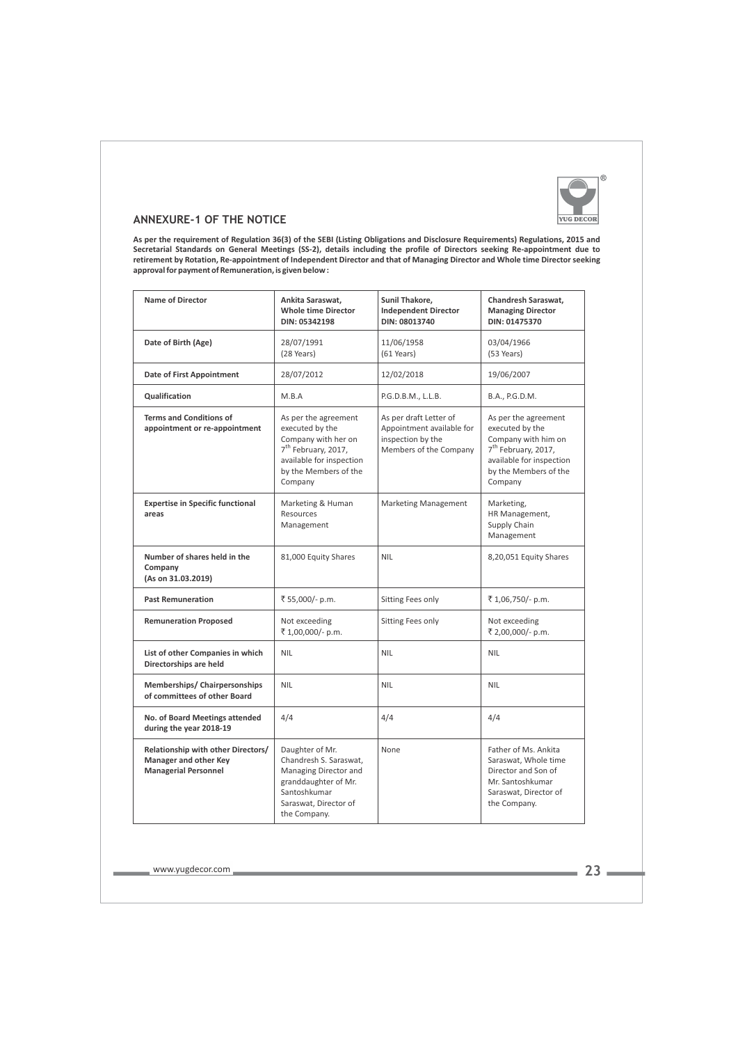**As per the requirement of Regulation 36(3) of the SEBI (Listing Obligations and Disclosure Requirements) Regulations, 2015 and Secretarial Standards on General Meetings (SS-2), details including the profile of Directors seeking Re-appointment due to retirement by Rotation, Re-appointment of Independent Director and that of Managing Director and Whole time Director seeking approval for payment of Remuneration, is given below :**



## **ANNEXURE-1 OF THE NOTICE**

| <b>Name of Director</b>                                                                           | Ankita Saraswat,<br><b>Whole time Director</b><br>DIN: 05342198                                                                                                   | Sunil Thakore,<br><b>Independent Director</b><br>DIN: 08013740                                     | <b>Chandresh Saraswat,</b><br><b>Managing Director</b><br>DIN: 01475370                                                                                           |
|---------------------------------------------------------------------------------------------------|-------------------------------------------------------------------------------------------------------------------------------------------------------------------|----------------------------------------------------------------------------------------------------|-------------------------------------------------------------------------------------------------------------------------------------------------------------------|
| Date of Birth (Age)                                                                               | 28/07/1991<br>(28 Years)                                                                                                                                          | 11/06/1958<br>$(61$ Years)                                                                         | 03/04/1966<br>$(53$ Years)                                                                                                                                        |
| <b>Date of First Appointment</b>                                                                  | 28/07/2012                                                                                                                                                        | 12/02/2018                                                                                         | 19/06/2007                                                                                                                                                        |
| Qualification                                                                                     | M.B.A                                                                                                                                                             | P.G.D.B.M., L.L.B.                                                                                 | B.A., P.G.D.M.                                                                                                                                                    |
| <b>Terms and Conditions of</b><br>appointment or re-appointment                                   | As per the agreement<br>executed by the<br>Company with her on<br>7 <sup>th</sup> February, 2017,<br>available for inspection<br>by the Members of the<br>Company | As per draft Letter of<br>Appointment available for<br>inspection by the<br>Members of the Company | As per the agreement<br>executed by the<br>Company with him on<br>7 <sup>th</sup> February, 2017,<br>available for inspection<br>by the Members of the<br>Company |
| <b>Expertise in Specific functional</b><br>areas                                                  | Marketing & Human<br>Resources<br>Management                                                                                                                      | <b>Marketing Management</b>                                                                        | Marketing,<br>HR Management,<br>Supply Chain<br>Management                                                                                                        |
| Number of shares held in the<br>Company<br>(As on 31.03.2019)                                     | 81,000 Equity Shares                                                                                                                                              | <b>NIL</b>                                                                                         | 8,20,051 Equity Shares                                                                                                                                            |
| <b>Past Remuneration</b>                                                                          | ₹ 55,000/- p.m.                                                                                                                                                   | Sitting Fees only                                                                                  | ₹1,06,750/- p.m.                                                                                                                                                  |
| <b>Remuneration Proposed</b>                                                                      | Not exceeding<br>₹1,00,000/- p.m.                                                                                                                                 | Sitting Fees only                                                                                  | Not exceeding<br>₹ 2,00,000/- p.m.                                                                                                                                |
| List of other Companies in which<br>Directorships are held                                        | <b>NIL</b>                                                                                                                                                        | <b>NIL</b>                                                                                         | <b>NIL</b>                                                                                                                                                        |
| <b>Memberships/ Chairpersonships</b><br>of committees of other Board                              | <b>NIL</b>                                                                                                                                                        | <b>NIL</b>                                                                                         | <b>NIL</b>                                                                                                                                                        |
| No. of Board Meetings attended<br>during the year 2018-19                                         | 4/4                                                                                                                                                               | 4/4                                                                                                | 4/4                                                                                                                                                               |
| Relationship with other Directors/<br><b>Manager and other Key</b><br><b>Managerial Personnel</b> | Daughter of Mr.<br>Chandresh S. Saraswat,<br>Managing Director and<br>granddaughter of Mr.<br>Santoshkumar<br>Saraswat, Director of<br>the Company.               | None                                                                                               | Father of Ms. Ankita<br>Saraswat, Whole time<br>Director and Son of<br>Mr. Santoshkumar<br>Saraswat, Director of<br>the Company.                                  |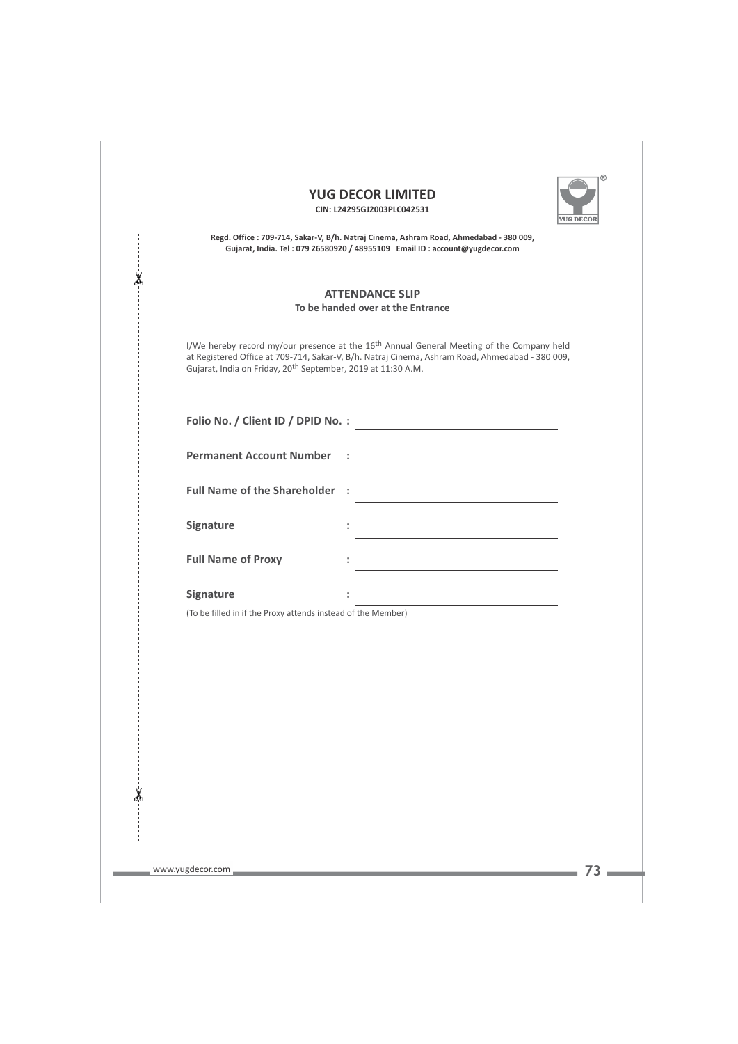| m.                          |  |
|-----------------------------|--|
| www.yugdecor.com<br>and the |  |

|                                                                          | <b>YUG DECOR LIMITED</b><br>CIN: L24295GJ2003PLC042531<br><b>YUG DECOR</b>                                                                                                                               |
|--------------------------------------------------------------------------|----------------------------------------------------------------------------------------------------------------------------------------------------------------------------------------------------------|
|                                                                          | Regd. Office: 709-714, Sakar-V, B/h. Natraj Cinema, Ashram Road, Ahmedabad - 380 009,<br>Gujarat, India. Tel: 079 26580920 / 48955109 Email ID: account@yugdecor.com                                     |
|                                                                          | <b>ATTENDANCE SLIP</b>                                                                                                                                                                                   |
|                                                                          | To be handed over at the Entrance                                                                                                                                                                        |
| Gujarat, India on Friday, 20 <sup>th</sup> September, 2019 at 11:30 A.M. | I/We hereby record my/our presence at the 16 <sup>th</sup> Annual General Meeting of the Company held<br>at Registered Office at 709-714, Sakar-V, B/h. Natraj Cinema, Ashram Road, Ahmedabad - 380 009, |
| Folio No. / Client ID / DPID No. :                                       |                                                                                                                                                                                                          |
| <b>Permanent Account Number</b>                                          |                                                                                                                                                                                                          |
| <b>Full Name of the Shareholder :</b>                                    |                                                                                                                                                                                                          |
| <b>Signature</b>                                                         |                                                                                                                                                                                                          |
| <b>Full Name of Proxy</b>                                                |                                                                                                                                                                                                          |
| <b>Signature</b>                                                         |                                                                                                                                                                                                          |
| (To be filled in if the Proxy attends instead of the Member)             |                                                                                                                                                                                                          |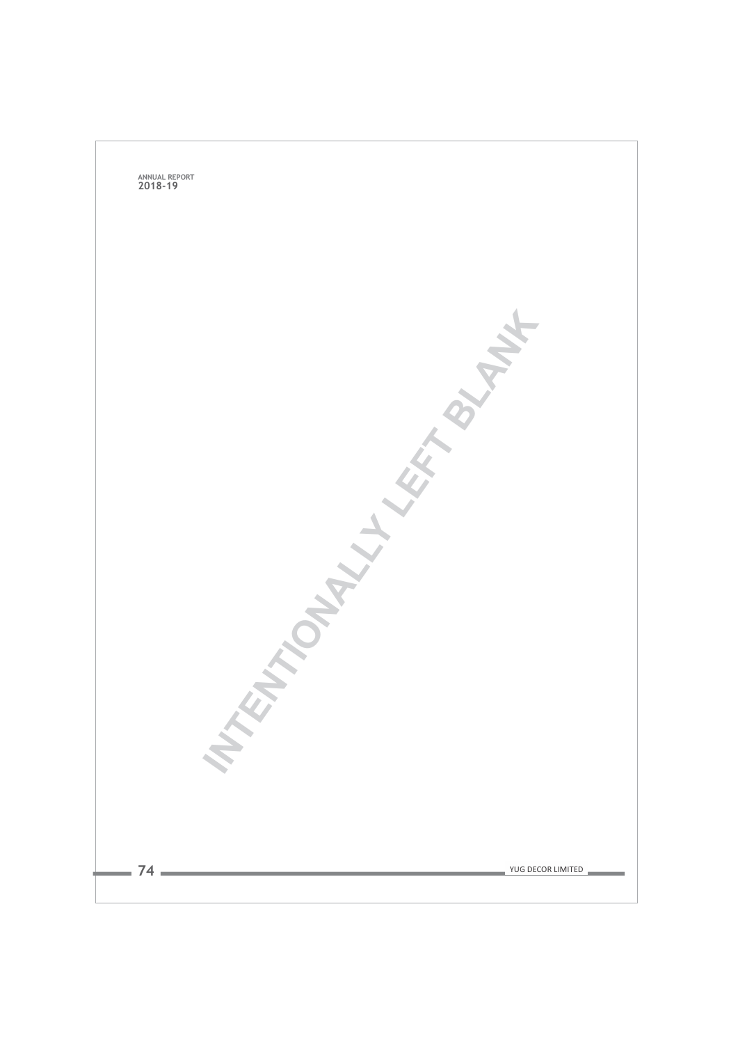

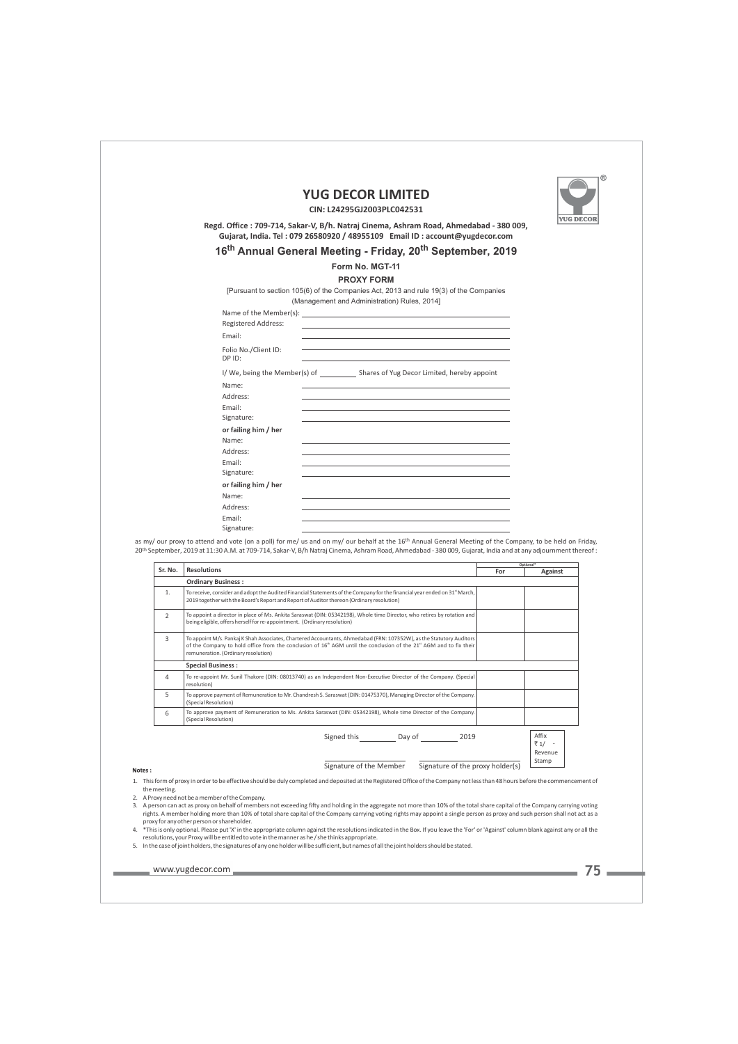- the meeting.
	- 2. A Proxy need not be a member of the Company.

- A person can act as proxy on behalf of members not exceeding fifty and holding in the aggregate not more than 10% of the total share capital of the Company carrying voting rights. A member holding more than 10% of total share capital of the Company carrying voting rights may appoint a single person as proxy and such person shall not act as a proxy for any other person or shareholder. 3.
- \*This is only optional. Please put 'X' in the appropriate column against the resolutions indicated in the Box. If you leave the 'For' or 'Against' column blank against any or all the resolutions, your Proxy will be entitled to vote in the manner as he / she thinks appropriate. 4.
- 5. In the case of joint holders, the signatures of any one holder will be sufficient, but names of all the joint holders should be stated.

|         | <b>YUG DECOR LIMITED</b><br>CIN: L24295GJ2003PLC042531                                                                                                                                                                                                                                                                               |     |                             |  |
|---------|--------------------------------------------------------------------------------------------------------------------------------------------------------------------------------------------------------------------------------------------------------------------------------------------------------------------------------------|-----|-----------------------------|--|
|         | Regd. Office: 709-714, Sakar-V, B/h. Natraj Cinema, Ashram Road, Ahmedabad - 380 009,<br>Gujarat, India. Tel: 079 26580920 / 48955109 Email ID: account@yugdecor.com                                                                                                                                                                 |     | <b>YUG DECOR</b>            |  |
|         | 16 <sup>th</sup> Annual General Meeting - Friday, 20 <sup>th</sup> September, 2019                                                                                                                                                                                                                                                   |     |                             |  |
|         | Form No. MGT-11                                                                                                                                                                                                                                                                                                                      |     |                             |  |
|         | <b>PROXY FORM</b>                                                                                                                                                                                                                                                                                                                    |     |                             |  |
|         | [Pursuant to section 105(6) of the Companies Act, 2013 and rule 19(3) of the Companies<br>(Management and Administration) Rules, 2014]                                                                                                                                                                                               |     |                             |  |
|         |                                                                                                                                                                                                                                                                                                                                      |     |                             |  |
|         | Registered Address:                                                                                                                                                                                                                                                                                                                  |     |                             |  |
|         | Email:                                                                                                                                                                                                                                                                                                                               |     |                             |  |
|         | Folio No./Client ID:<br>DP ID:                                                                                                                                                                                                                                                                                                       |     |                             |  |
|         | I/We, being the Member(s) of Shares of Yug Decor Limited, hereby appoint                                                                                                                                                                                                                                                             |     |                             |  |
|         | Name:                                                                                                                                                                                                                                                                                                                                |     |                             |  |
|         | Address:                                                                                                                                                                                                                                                                                                                             |     |                             |  |
|         | Email:<br>Signature:                                                                                                                                                                                                                                                                                                                 |     |                             |  |
|         | or failing him / her                                                                                                                                                                                                                                                                                                                 |     |                             |  |
|         | Name:                                                                                                                                                                                                                                                                                                                                |     |                             |  |
|         | Address:                                                                                                                                                                                                                                                                                                                             |     |                             |  |
|         | Email:                                                                                                                                                                                                                                                                                                                               |     |                             |  |
|         | Signature:                                                                                                                                                                                                                                                                                                                           |     |                             |  |
|         | or failing him / her<br>Name:                                                                                                                                                                                                                                                                                                        |     |                             |  |
|         | Address:                                                                                                                                                                                                                                                                                                                             |     |                             |  |
|         | Email:                                                                                                                                                                                                                                                                                                                               |     |                             |  |
|         | Signature:                                                                                                                                                                                                                                                                                                                           |     |                             |  |
|         | as my/ our proxy to attend and vote (on a poll) for me/ us and on my/ our behalf at the 16 <sup>th</sup> Annual General Meeting of the Company, to be held on Friday,<br>20th September, 2019 at 11:30 A.M. at 709-714, Sakar-V, B/h Natraj Cinema, Ashram Road, Ahmedabad - 380 009, Gujarat, India and at any adjournment thereof: |     |                             |  |
| Sr. No. | <b>Resolutions</b>                                                                                                                                                                                                                                                                                                                   | For | Optional*<br><b>Against</b> |  |
|         | <b>Ordinary Business:</b>                                                                                                                                                                                                                                                                                                            |     |                             |  |
| 1.      | To receive, consider and adopt the Audited Financial Statements of the Company for the financial year ended on 31 <sup>*</sup> March,<br>2019 together with the Board's Report and Report of Auditor thereon (Ordinary resolution)                                                                                                   |     |                             |  |
| 2       | To appoint a director in place of Ms. Ankita Saraswat (DIN: 05342198), Whole time Director, who retires by rotation and<br>being eligible, offers herself for re-appointment. (Ordinary resolution)                                                                                                                                  |     |                             |  |
| 3       | To appoint M/s. Pankaj K Shah Associates, Chartered Accountants, Ahmedabad (FRN: 107352W), as the Statutory Auditors                                                                                                                                                                                                                 |     |                             |  |

 $\mathsf{Notes}:$ 

This form of proxy in order to be effective should be duly completed and deposited at the Registered Office of the Company not less than 48 hours before the commencement of 1.

Signed this Day of 2019

Signature of the Member Signature of the proxy holder(s)

To re-appoint Mr. Sunil Thakore (DIN: 08013740) as an Independent Non-Executive Director of the Company. (Special

resolution)

To approve payment of Remuneration to Mr. Chandresh S. Saraswat (DIN: 01475370), Managing Director of the Company.

(Special Resolution)

To approve payment of Remuneration to Ms. Ankita Saraswat (DIN: 05342198), Whole time Director of the Company.

(Special Resolution)

4

5

6

- ` 1/ Affix Revenue Stamp